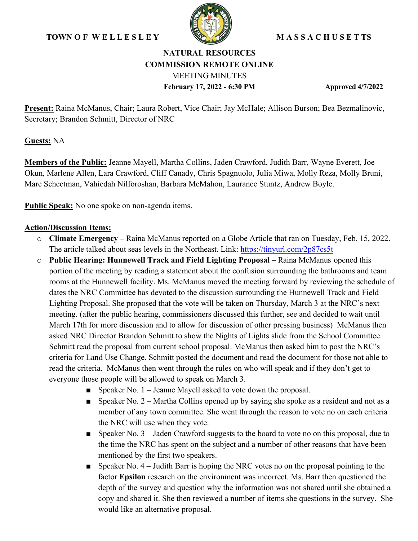## **TOWN OF WELLESLEY WE WASSACHUSET TS**



# **NATURAL RESOURCES COMMISSION REMOTE ONLINE** MEETING MINUTES **February 17, 2022 - 6:30 PM Approved 4/7/2022**

**Present:** Raina McManus, Chair; Laura Robert, Vice Chair; Jay McHale; Allison Burson; Bea Bezmalinovic, Secretary; Brandon Schmitt, Director of NRC

**Guests:** NA

**Members of the Public:** Jeanne Mayell, Martha Collins, Jaden Crawford, Judith Barr, Wayne Everett, Joe Okun, Marlene Allen, Lara Crawford, Cliff Canady, Chris Spagnuolo, Julia Miwa, Molly Reza, Molly Bruni, Marc Schectman, Vahiedah Nilforoshan, Barbara McMahon, Laurance Stuntz, Andrew Boyle.

**Public Speak:** No one spoke on non-agenda items.

### **Action/Discussion Items:**

- o **Climate Emergency** Raina McManus reported on a Globe Article that ran on Tuesday, Feb. 15, 2022. The article talked about seas levels in the Northeast. Link:<https://tinyurl.com/2p87cs5t>
- o **Public Hearing: Hunnewell Track and Field Lighting Proposal** Raina McManus opened this portion of the meeting by reading a statement about the confusion surrounding the bathrooms and team rooms at the Hunnewell facility. Ms. McManus moved the meeting forward by reviewing the schedule of dates the NRC Committee has devoted to the discussion surrounding the Hunnewell Track and Field Lighting Proposal. She proposed that the vote will be taken on Thursday, March 3 at the NRC's next meeting. (after the public hearing, commissioners discussed this further, see and decided to wait until March 17th for more discussion and to allow for discussion of other pressing business) McManus then asked NRC Director Brandon Schmitt to show the Nights of Lights slide from the School Committee. Schmitt read the proposal from current school proposal. McManus then asked him to post the NRC's criteria for Land Use Change. Schmitt posted the document and read the document for those not able to read the criteria. McManus then went through the rules on who will speak and if they don't get to everyone those people will be allowed to speak on March 3.
	- Speaker No. 1 Jeanne Mayell asked to vote down the proposal.
	- **•** Speaker No.  $2 -$  Martha Collins opened up by saying she spoke as a resident and not as a member of any town committee. She went through the reason to vote no on each criteria the NRC will use when they vote.
	- Speaker No. 3 Jaden Crawford suggests to the board to vote no on this proposal, due to the time the NRC has spent on the subject and a number of other reasons that have been mentioned by the first two speakers.
	- $\blacksquare$  Speaker No. 4 Judith Barr is hoping the NRC votes no on the proposal pointing to the factor **Epsilon** research on the environment was incorrect. Ms. Barr then questioned the depth of the survey and question why the information was not shared until she obtained a copy and shared it. She then reviewed a number of items she questions in the survey. She would like an alternative proposal.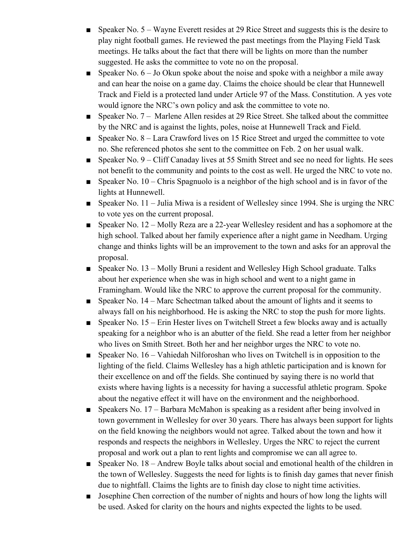- Speaker No. 5 Wayne Everett resides at 29 Rice Street and suggests this is the desire to play night football games. He reviewed the past meetings from the Playing Field Task meetings. He talks about the fact that there will be lights on more than the number suggested. He asks the committee to vote no on the proposal.
- **•** Speaker No.  $6 Jo$  Okun spoke about the noise and spoke with a neighbor a mile away and can hear the noise on a game day. Claims the choice should be clear that Hunnewell Track and Field is a protected land under Article 97 of the Mass. Constitution. A yes vote would ignore the NRC's own policy and ask the committee to vote no.
- Speaker No. 7 Marlene Allen resides at 29 Rice Street. She talked about the committee by the NRC and is against the lights, poles, noise at Hunnewell Track and Field.
- Speaker No. 8 Lara Crawford lives on 15 Rice Street and urged the committee to vote no. She referenced photos she sent to the committee on Feb. 2 on her usual walk.
- Speaker No. 9 Cliff Canaday lives at 55 Smith Street and see no need for lights. He sees not benefit to the community and points to the cost as well. He urged the NRC to vote no.
- **•** Speaker No.  $10 -$ Chris Spagnuolo is a neighbor of the high school and is in favor of the lights at Hunnewell.
- **•** Speaker No. 11 Julia Miwa is a resident of Wellesley since 1994. She is urging the NRC to vote yes on the current proposal.
- Speaker No. 12 Molly Reza are a 22-year Wellesley resident and has a sophomore at the high school. Talked about her family experience after a night game in Needham. Urging change and thinks lights will be an improvement to the town and asks for an approval the proposal.
- Speaker No. 13 Molly Bruni a resident and Wellesley High School graduate. Talks about her experience when she was in high school and went to a night game in Framingham. Would like the NRC to approve the current proposal for the community.
- Speaker No. 14 Marc Schectman talked about the amount of lights and it seems to always fall on his neighborhood. He is asking the NRC to stop the push for more lights.
- Speaker No. 15 Erin Hester lives on Twitchell Street a few blocks away and is actually speaking for a neighbor who is an abutter of the field. She read a letter from her neighbor who lives on Smith Street. Both her and her neighbor urges the NRC to vote no.
- $\blacksquare$  Speaker No. 16 Vahiedah Nilforoshan who lives on Twitchell is in opposition to the lighting of the field. Claims Wellesley has a high athletic participation and is known for their excellence on and off the fields. She continued by saying there is no world that exists where having lights is a necessity for having a successful athletic program. Spoke about the negative effect it will have on the environment and the neighborhood.
- Speakers No. 17 Barbara McMahon is speaking as a resident after being involved in town government in Wellesley for over 30 years. There has always been support for lights on the field knowing the neighbors would not agree. Talked about the town and how it responds and respects the neighbors in Wellesley. Urges the NRC to reject the current proposal and work out a plan to rent lights and compromise we can all agree to.
- Speaker No. 18 Andrew Boyle talks about social and emotional health of the children in the town of Wellesley. Suggests the need for lights is to finish day games that never finish due to nightfall. Claims the lights are to finish day close to night time activities.
- Josephine Chen correction of the number of nights and hours of how long the lights will be used. Asked for clarity on the hours and nights expected the lights to be used.